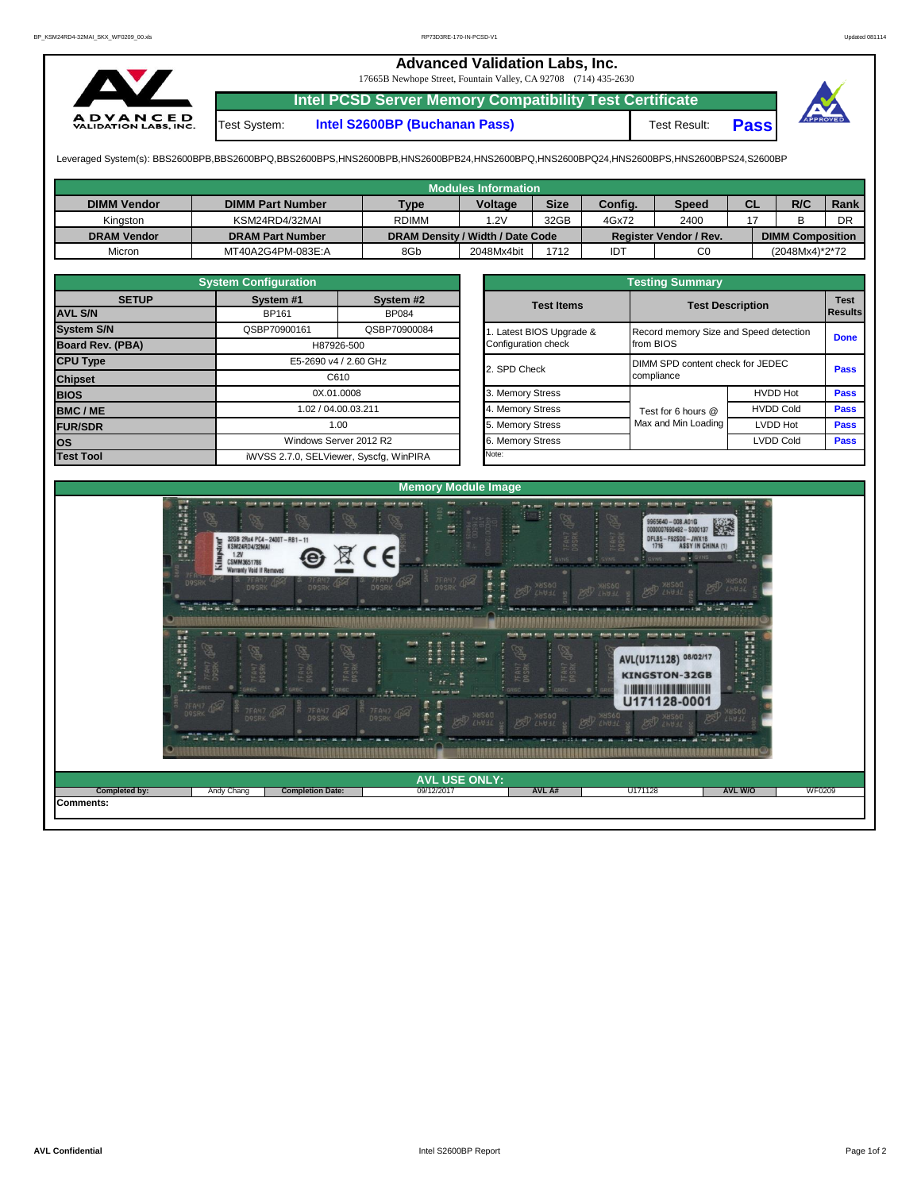## **Advanced Validation Labs, Inc.**

17665B Newhope Street, Fountain Valley, CA 92708 (714) 435-2630



**Intel PCSD Server Memory Compatibility Test Certificate**

Test System: **Intel S2600BP (Buchanan Pass)** Test Result: **Pass**

Leveraged System(s): BBS2600BPB,BBS2600BPQ,BBS2600BPS,HNS2600BPB,HNS2600BPB24,HNS2600BPQ,HNS2600BPQ24,HNS2600BPS,HNS2600BPS24,S2600BP

|                    |                         |                                  | <b>Modules Information</b> |             |            |                        |           |                         |      |
|--------------------|-------------------------|----------------------------------|----------------------------|-------------|------------|------------------------|-----------|-------------------------|------|
| <b>DIMM Vendor</b> | <b>DIMM Part Number</b> | <b>Type</b>                      | <b>Voltage</b>             | <b>Size</b> | Config.    | <b>Speed</b>           | <b>CL</b> | R/C                     | Rank |
| Kinaston           | KSM24RD4/32MAI          | <b>RDIMM</b>                     | .2V                        | 32GB        | 4Gx72      | 2400                   |           |                         | DR   |
| <b>DRAM Vendor</b> | <b>DRAM Part Number</b> | DRAM Density / Width / Date Code |                            |             |            | Register Vendor / Rev. |           | <b>DIMM Composition</b> |      |
| Micron             | MT40A2G4PM-083E:A       | 8Gb                              | 2048Mx4bit                 | 1712        | <b>IDT</b> | C0                     |           | (2048Mx4)*2*72          |      |

|                                | <b>System Configuration</b> |                                         |  | <b>Testing Summary</b> |                                        |                               |             |  |  |  |  |  |
|--------------------------------|-----------------------------|-----------------------------------------|--|------------------------|----------------------------------------|-------------------------------|-------------|--|--|--|--|--|
| <b>SETUP</b><br><b>AVL S/N</b> | System #1<br><b>BP161</b>   | System #2<br><b>BP084</b>               |  |                        | <b>Test Description</b>                | <b>Test</b><br><b>Results</b> |             |  |  |  |  |  |
| <b>System S/N</b>              | QSBP70900161                | QSBP70900084                            |  | Latest BIOS Upgrade &  | Record memory Size and Speed detection |                               |             |  |  |  |  |  |
| Board Rev. (PBA)               |                             | H87926-500                              |  |                        | from BIOS                              | <b>Done</b>                   |             |  |  |  |  |  |
| <b>CPU Type</b>                |                             | E5-2690 v4 / 2.60 GHz                   |  | 2. SPD Check           | DIMM SPD content check for JEDEC       |                               | <b>Pass</b> |  |  |  |  |  |
| <b>Chipset</b>                 |                             | C610                                    |  |                        | compliance                             |                               |             |  |  |  |  |  |
| <b>BIOS</b>                    |                             | 0X.01.0008                              |  | 3. Memory Stress       |                                        | <b>HVDD Hot</b>               | <b>Pass</b> |  |  |  |  |  |
| <b>BMC/ME</b>                  |                             | 1.02 / 04.00.03.211                     |  | 4. Memory Stress       | Test for 6 hours @                     | <b>HVDD Cold</b>              | <b>Pass</b> |  |  |  |  |  |
| <b>FUR/SDR</b>                 |                             | 1.00                                    |  | 5. Memory Stress       | Max and Min Loading                    | LVDD Hot                      | <b>Pass</b> |  |  |  |  |  |
| <b>OS</b>                      |                             | Windows Server 2012 R2                  |  | 6. Memory Stress       |                                        | <b>LVDD Cold</b>              | <b>Pass</b> |  |  |  |  |  |
| <b>Test Tool</b>               |                             | iWVSS 2.7.0, SELViewer, Syscfq, WinPIRA |  | Note:                  |                                        |                               |             |  |  |  |  |  |